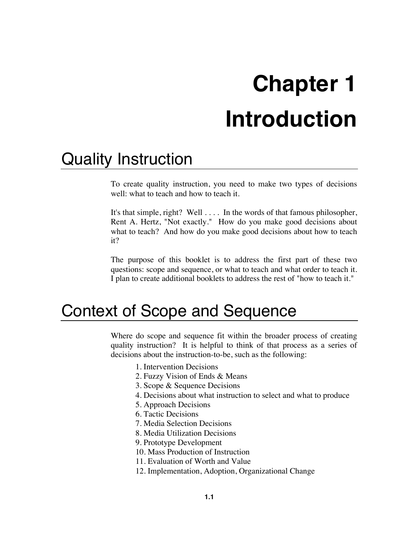# **Chapter 1 Introduction**

## Quality Instruction

To create quality instruction, you need to make two types of decisions well: what to teach and how to teach it.

It's that simple, right? Well . . . . In the words of that famous philosopher, Rent A. Hertz, "Not exactly." How do you make good decisions about what to teach? And how do you make good decisions about how to teach it?

The purpose of this booklet is to address the first part of these two questions: scope and sequence, or what to teach and what order to teach it. I plan to create additional booklets to address the rest of "how to teach it."

## Context of Scope and Sequence

Where do scope and sequence fit within the broader process of creating quality instruction? It is helpful to think of that process as a series of decisions about the instruction-to-be, such as the following:

- 1. Intervention Decisions
- 2. Fuzzy Vision of Ends & Means
- 3. Scope & Sequence Decisions
- 4. Decisions about what instruction to select and what to produce
- 5. Approach Decisions
- 6. Tactic Decisions
- 7. Media Selection Decisions
- 8. Media Utilization Decisions
- 9. Prototype Development
- 10. Mass Production of Instruction
- 11. Evaluation of Worth and Value
- 12. Implementation, Adoption, Organizational Change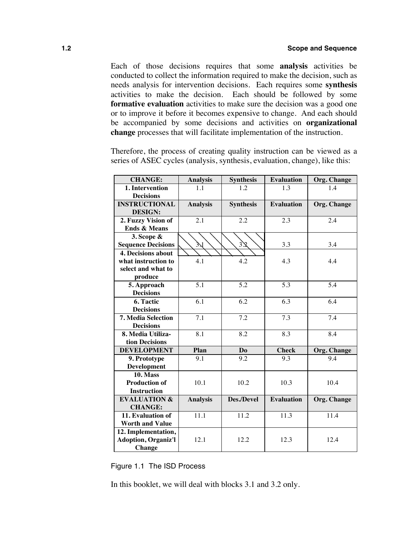Each of those decisions requires that some **analysis** activities be conducted to collect the information required to make the decision, such as needs analysis for intervention decisions. Each requires some **synthesis** activities to make the decision. Each should be followed by some **formative evaluation** activities to make sure the decision was a good one or to improve it before it becomes expensive to change. And each should be accompanied by some decisions and activities on **organizational change** processes that will facilitate implementation of the instruction.

| <b>CHANGE:</b>             | <b>Analysis</b>  | <b>Synthesis</b> | <b>Evaluation</b> | <b>Org. Change</b> |
|----------------------------|------------------|------------------|-------------------|--------------------|
| 1. Intervention            | 1.1              | 1.2              | 1.3               | 14                 |
| <b>Decisions</b>           |                  |                  |                   |                    |
| <b>INSTRUCTIONAL</b>       | <b>Analysis</b>  | <b>Synthesis</b> | <b>Evaluation</b> | Org. Change        |
| <b>DESIGN:</b>             |                  |                  |                   |                    |
| 2. Fuzzy Vision of         | 2.1              | 2.2              | 2.3               | 2.4                |
| <b>Ends &amp; Means</b>    |                  |                  |                   |                    |
| 3. Scope &                 |                  |                  |                   |                    |
| <b>Sequence Decisions</b>  | 3X               | 32               | 3.3               | 3.4                |
| <b>4. Decisions about</b>  |                  |                  |                   |                    |
| what instruction to        | 4.1              | 4.2              | 4.3               | 4.4                |
| select and what to         |                  |                  |                   |                    |
| produce                    |                  |                  |                   |                    |
| 5. Approach                | $\overline{5.1}$ | 5.2              | 5.3               | 5.4                |
| <b>Decisions</b>           |                  |                  |                   |                    |
| 6. Tactic                  | 6.1              | 6.2              | 6.3               | 6.4                |
| <b>Decisions</b>           |                  |                  |                   |                    |
| <b>7. Media Selection</b>  | $\overline{7.1}$ | $\overline{7.2}$ | $\overline{7.3}$  | $\overline{7.4}$   |
| <b>Decisions</b>           |                  |                  |                   |                    |
| 8. Media Utiliza-          | 8.1              | 8.2              | 8.3               | 8.4                |
| tion Decisions             |                  |                  |                   |                    |
| <b>DEVELOPMENT</b>         | Plan             | Do               | <b>Check</b>      | <b>Org. Change</b> |
| 9. Prototype               | 9.1              | 9.2              | 9.3               | 9.4                |
| <b>Development</b>         |                  |                  |                   |                    |
| <b>10. Mass</b>            |                  |                  |                   |                    |
| <b>Production of</b>       | 10.1             | 10.2             | 10.3              | 10.4               |
| <b>Instruction</b>         |                  |                  |                   |                    |
| <b>EVALUATION &amp;</b>    | <b>Analysis</b>  | Des./Devel       | <b>Evaluation</b> | Org. Change        |
| <b>CHANGE:</b>             |                  |                  |                   |                    |
| 11. Evaluation of          | 11.1             | 11.2             | 11.3              | 11.4               |
| <b>Worth and Value</b>     |                  |                  |                   |                    |
| 12. Implementation,        |                  |                  |                   |                    |
| <b>Adoption, Organiz'l</b> | 12.1             | 12.2             | 12.3              | 12.4               |
| <b>Change</b>              |                  |                  |                   |                    |

Therefore, the process of creating quality instruction can be viewed as a series of ASEC cycles (analysis, synthesis, evaluation, change), like this:

Figure 1.1 The ISD Process

In this booklet, we will deal with blocks 3.1 and 3.2 only.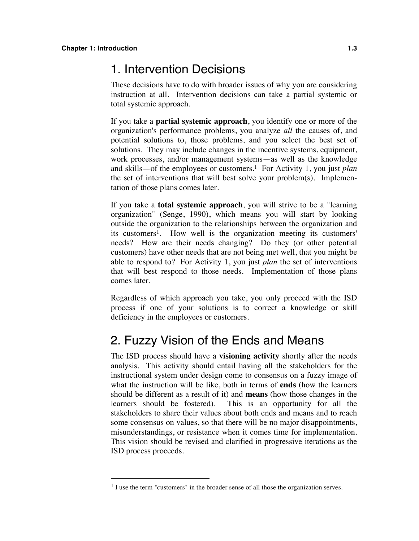#### 1. Intervention Decisions

These decisions have to do with broader issues of why you are considering instruction at all. Intervention decisions can take a partial systemic or total systemic approach.

If you take a **partial systemic approach**, you identify one or more of the organization's performance problems, you analyze *all* the causes of, and potential solutions to, those problems, and you select the best set of solutions. They may include changes in the incentive systems, equipment, work processes, and/or management systems—as well as the knowledge and skills—of the employees or customers.1 For Activity 1, you just *plan* the set of interventions that will best solve your problem(s). Implementation of those plans comes later.

If you take a **total systemic approach**, you will strive to be a "learning organization" (Senge, 1990), which means you will start by looking outside the organization to the relationships between the organization and its customers<sup>1</sup>. How well is the organization meeting its customers' needs? How are their needs changing? Do they (or other potential customers) have other needs that are not being met well, that you might be able to respond to? For Activity 1, you just *plan* the set of interventions that will best respond to those needs. Implementation of those plans comes later.

Regardless of which approach you take, you only proceed with the ISD process if one of your solutions is to correct a knowledge or skill deficiency in the employees or customers.

#### 2. Fuzzy Vision of the Ends and Means

The ISD process should have a **visioning activity** shortly after the needs analysis. This activity should entail having all the stakeholders for the instructional system under design come to consensus on a fuzzy image of what the instruction will be like, both in terms of **ends** (how the learners should be different as a result of it) and **means** (how those changes in the learners should be fostered). This is an opportunity for all the stakeholders to share their values about both ends and means and to reach some consensus on values, so that there will be no major disappointments, misunderstandings, or resistance when it comes time for implementation. This vision should be revised and clarified in progressive iterations as the ISD process proceeds.

<sup>&</sup>lt;sup>1</sup> I use the term "customers" in the broader sense of all those the organization serves.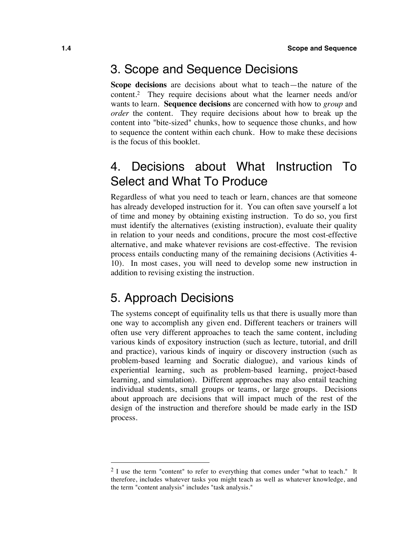#### 3. Scope and Sequence Decisions

**Scope decisions** are decisions about what to teach—the nature of the content.2 They require decisions about what the learner needs and/or wants to learn. **Sequence decisions** are concerned with how to *group* and *order* the content. They require decisions about how to break up the content into "bite-sized" chunks, how to sequence those chunks, and how to sequence the content within each chunk. How to make these decisions is the focus of this booklet.

### 4. Decisions about What Instruction To Select and What To Produce

Regardless of what you need to teach or learn, chances are that someone has already developed instruction for it. You can often save yourself a lot of time and money by obtaining existing instruction. To do so, you first must identify the alternatives (existing instruction), evaluate their quality in relation to your needs and conditions, procure the most cost-effective alternative, and make whatever revisions are cost-effective. The revision process entails conducting many of the remaining decisions (Activities 4- 10). In most cases, you will need to develop some new instruction in addition to revising existing the instruction.

#### 5. Approach Decisions

The systems concept of equifinality tells us that there is usually more than one way to accomplish any given end. Different teachers or trainers will often use very different approaches to teach the same content, including various kinds of expository instruction (such as lecture, tutorial, and drill and practice), various kinds of inquiry or discovery instruction (such as problem-based learning and Socratic dialogue), and various kinds of experiential learning, such as problem-based learning, project-based learning, and simulation). Different approaches may also entail teaching individual students, small groups or teams, or large groups. Decisions about approach are decisions that will impact much of the rest of the design of the instruction and therefore should be made early in the ISD process.

 $2$  I use the term "content" to refer to everything that comes under "what to teach." It therefore, includes whatever tasks you might teach as well as whatever knowledge, and the term "content analysis" includes "task analysis."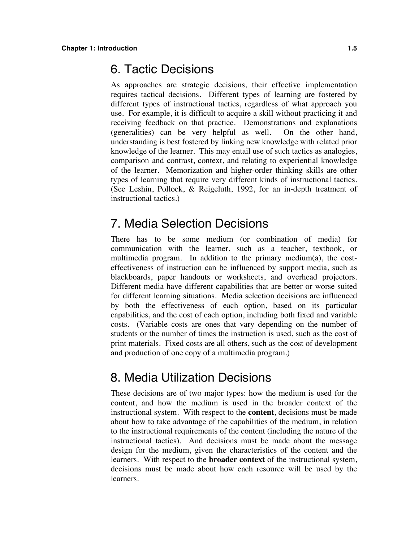#### 6. Tactic Decisions

As approaches are strategic decisions, their effective implementation requires tactical decisions. Different types of learning are fostered by different types of instructional tactics, regardless of what approach you use. For example, it is difficult to acquire a skill without practicing it and receiving feedback on that practice. Demonstrations and explanations (generalities) can be very helpful as well. On the other hand, understanding is best fostered by linking new knowledge with related prior knowledge of the learner. This may entail use of such tactics as analogies, comparison and contrast, context, and relating to experiential knowledge of the learner. Memorization and higher-order thinking skills are other types of learning that require very different kinds of instructional tactics. (See Leshin, Pollock, & Reigeluth, 1992, for an in-depth treatment of instructional tactics.)

#### 7. Media Selection Decisions

There has to be some medium (or combination of media) for communication with the learner, such as a teacher, textbook, or multimedia program. In addition to the primary medium(a), the costeffectiveness of instruction can be influenced by support media, such as blackboards, paper handouts or worksheets, and overhead projectors. Different media have different capabilities that are better or worse suited for different learning situations. Media selection decisions are influenced by both the effectiveness of each option, based on its particular capabilities, and the cost of each option, including both fixed and variable costs. (Variable costs are ones that vary depending on the number of students or the number of times the instruction is used, such as the cost of print materials. Fixed costs are all others, such as the cost of development and production of one copy of a multimedia program.)

#### 8. Media Utilization Decisions

These decisions are of two major types: how the medium is used for the content, and how the medium is used in the broader context of the instructional system. With respect to the **content**, decisions must be made about how to take advantage of the capabilities of the medium, in relation to the instructional requirements of the content (including the nature of the instructional tactics). And decisions must be made about the message design for the medium, given the characteristics of the content and the learners. With respect to the **broader context** of the instructional system, decisions must be made about how each resource will be used by the learners.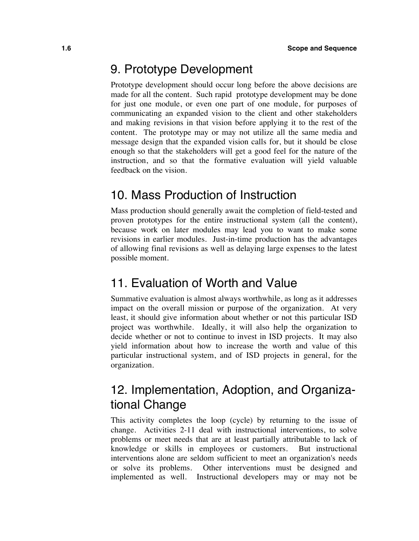#### 9. Prototype Development

Prototype development should occur long before the above decisions are made for all the content. Such rapid prototype development may be done for just one module, or even one part of one module, for purposes of communicating an expanded vision to the client and other stakeholders and making revisions in that vision before applying it to the rest of the content. The prototype may or may not utilize all the same media and message design that the expanded vision calls for, but it should be close enough so that the stakeholders will get a good feel for the nature of the instruction, and so that the formative evaluation will yield valuable feedback on the vision.

#### 10. Mass Production of Instruction

Mass production should generally await the completion of field-tested and proven prototypes for the entire instructional system (all the content), because work on later modules may lead you to want to make some revisions in earlier modules. Just-in-time production has the advantages of allowing final revisions as well as delaying large expenses to the latest possible moment.

#### 11. Evaluation of Worth and Value

Summative evaluation is almost always worthwhile, as long as it addresses impact on the overall mission or purpose of the organization. At very least, it should give information about whether or not this particular ISD project was worthwhile. Ideally, it will also help the organization to decide whether or not to continue to invest in ISD projects. It may also yield information about how to increase the worth and value of this particular instructional system, and of ISD projects in general, for the organization.

#### 12. Implementation, Adoption, and Organizational Change

This activity completes the loop (cycle) by returning to the issue of change. Activities 2-11 deal with instructional interventions, to solve problems or meet needs that are at least partially attributable to lack of knowledge or skills in employees or customers. But instructional interventions alone are seldom sufficient to meet an organization's needs or solve its problems. Other interventions must be designed and implemented as well. Instructional developers may or may not be